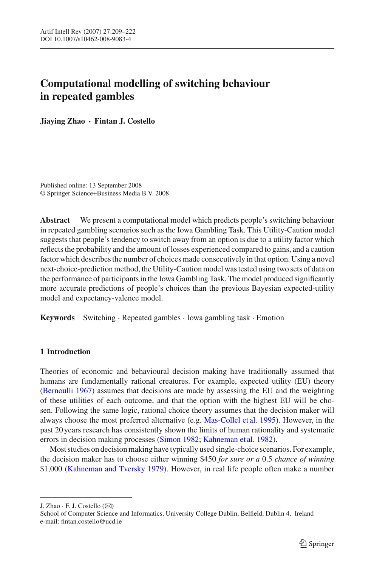# **Computational modelling of switching behaviour in repeated gambles**

**Jiaying Zhao · Fintan J. Costello**

Published online: 13 September 2008 © Springer Science+Business Media B.V. 2008

**Abstract** We present a computational model which predicts people's switching behaviour in repeated gambling scenarios such as the Iowa Gambling Task. This Utility-Caution model suggests that people's tendency to switch away from an option is due to a utility factor which reflects the probability and the amount of losses experienced compared to gains, and a caution factor which describes the number of choices made consecutively in that option. Using a novel next-choice-prediction method, the Utility-Caution model was tested using two sets of data on the performance of participants in the Iowa Gambling Task. The model produced significantly more accurate predictions of people's choices than the previous Bayesian expected-utility model and expectancy-valence model.

**Keywords** Switching · Repeated gambles · Iowa gambling task · Emotion

# **1 Introduction**

Theories of economic and behavioural decision making have traditionally assumed that humans are fundamentally rational creatures. For example, expected utility (EU) theory [\(Bernoulli 1967](#page-12-0)) assumes that decisions are made by assessing the EU and the weighting of these utilities of each outcome, and that the option with the highest EU will be chosen. Following the same logic, rational choice theory assumes that the decision maker will always choose the most preferred alternative (e.g. [Mas-Collel et al. 1995](#page-13-0)). However, in the past 20 years research has consistently shown the limits of human rationality and systematic errors in decision making processes [\(Simon 1982;](#page-13-1) [Kahneman et al. 1982\)](#page-13-2).

Most studies on decision making have typically used single-choice scenarios. For example, the decision maker has to choose either winning \$450 *for sure or a* 0.5 *chance of winning* \$1,000 [\(Kahneman and Tversky 1979\)](#page-13-3). However, in real life people often make a number

J. Zhao  $\cdot$  F. J. Costello ( $\boxtimes$ )

School of Computer Science and Informatics, University College Dublin, Belfield, Dublin 4, Ireland e-mail: fintan.costello@ucd.ie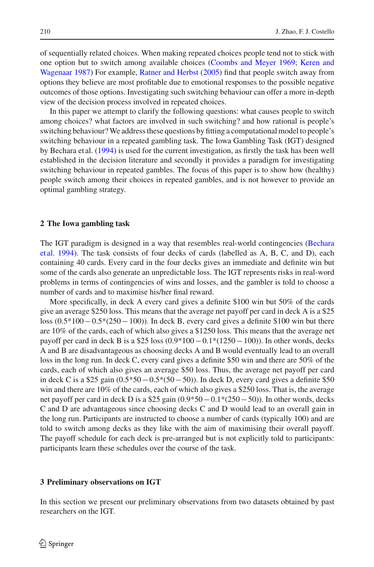of sequentially related choices. When making repeated choices people tend not to stick with one optio[n](#page-13-5) [but](#page-13-5) [to](#page-13-5) [switch](#page-13-5) [among](#page-13-5) [available](#page-13-5) [choices](#page-13-5) [\(Coombs and Meyer 1969](#page-13-4)[;](#page-13-5) Keren and Wagenaar [1987](#page-13-5)) For example, [Ratner and Herbst](#page-13-6) [\(2005\)](#page-13-6) find that people switch away from options they believe are most profitable due to emotional responses to the possible negative outcomes of those options. Investigating such switching behaviour can offer a more in-depth view of the decision process involved in repeated choices.

In this paper we attempt to clarify the following questions: what causes people to switch among choices? what factors are involved in such switching? and how rational is people's switching behaviour? We address these questions by fitting a computational model to people's switching behaviour in a repeated gambling task. The Iowa Gambling Task (IGT) designed by Bechara et al. [\(1994\)](#page-12-1) is used for the current investigation, as firstly the task has been well established in the decision literature and secondly it provides a paradigm for investigating switching behaviour in repeated gambles. The focus of this paper is to show how (healthy) people switch among their choices in repeated gambles, and is not however to provide an optimal gambling strategy.

### **2 The Iowa gambling task**

The [IGT](#page-12-1) [paradigm](#page-12-1) [is](#page-12-1) [designed](#page-12-1) [in](#page-12-1) [a](#page-12-1) [way](#page-12-1) [that](#page-12-1) [resembles](#page-12-1) [real-world](#page-12-1) [contingencies](#page-12-1) [\(](#page-12-1)Bechara et al. [1994\)](#page-12-1). The task consists of four decks of cards (labelled as A, B, C, and D), each containing 40 cards. Every card in the four decks gives an immediate and definite win but some of the cards also generate an unpredictable loss. The IGT represents risks in real-word problems in terms of contingencies of wins and losses, and the gambler is told to choose a number of cards and to maximise his/her final reward.

More specifically, in deck A every card gives a definite \$100 win but 50% of the cards give an average \$250 loss. This means that the average net payoff per card in deck A is a \$25 loss  $(0.5*100-0.5* (250-100))$ . In deck B, every card gives a definite \$100 win but there are 10% of the cards, each of which also gives a \$1250 loss. This means that the average net payoff per card in deck B is a \$25 loss (0.9\*100−0.1\*(1250−100)). In other words, decks A and B are disadvantageous as choosing decks A and B would eventually lead to an overall loss in the long run. In deck C, every card gives a definite \$50 win and there are 50% of the cards, each of which also gives an average \$50 loss. Thus, the average net payoff per card in deck C is a \$25 gain  $(0.5*50-0.5*(50-50))$ . In deck D, every card gives a definite \$50 win and there are 10% of the cards, each of which also gives a \$250 loss. That is, the average net payoff per card in deck D is a \$25 gain (0.9\*50−0.1\*(250−50)). In other words, decks C and D are advantageous since choosing decks C and D would lead to an overall gain in the long run. Participants are instructed to choose a number of cards (typically 100) and are told to switch among decks as they like with the aim of maximising their overall payoff. The payoff schedule for each deck is pre-arranged but is not explicitly told to participants: participants learn these schedules over the course of the task.

### **3 Preliminary observations on IGT**

In this section we present our preliminary observations from two datasets obtained by past researchers on the IGT.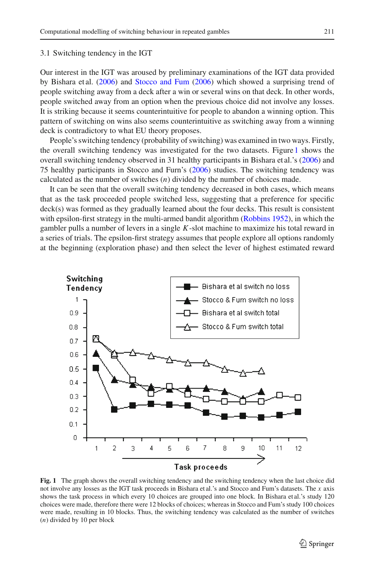#### 3.1 Switching tendency in the IGT

Our interest in the IGT was aroused by preliminary examinations of the IGT data provided by Bishara et al. [\(2006](#page-12-2)) and [Stocco and Fum](#page-13-7) [\(2006](#page-13-7)) which showed a surprising trend of people switching away from a deck after a win or several wins on that deck. In other words, people switched away from an option when the previous choice did not involve any losses. It is striking because it seems counterintuitive for people to abandon a winning option. This pattern of switching on wins also seems counterintuitive as switching away from a winning deck is contradictory to what EU theory proposes.

People's switching tendency (probability of switching) was examined in two ways. Firstly, the overall switching tendency was investigated for the two datasets. Figure [1](#page-2-0) shows the overall switching tendency observed in 31 healthy participants in Bishara et al.'s [\(2006\)](#page-12-2) and 75 healthy participants in Stocco and Furn's [\(2006\)](#page-13-7) studies. The switching tendency was calculated as the number of switches (*n*) divided by the number of choices made.

It can be seen that the overall switching tendency decreased in both cases, which means that as the task proceeded people switched less, suggesting that a preference for specific deck(s) was formed as they gradually learned about the four decks. This result is consistent with epsilon-first strategy in the multi-armed bandit algorithm [\(Robbins 1952\)](#page-13-8), in which the gambler pulls a number of levers in a single *K*-slot machine to maximize his total reward in a series of trials. The epsilon-first strategy assumes that people explore all options randomly at the beginning (exploration phase) and then select the lever of highest estimated reward



<span id="page-2-0"></span>Fig. 1 The graph shows the overall switching tendency and the switching tendency when the last choice did not involve any losses as the IGT task proceeds in Bishara et al.'s and Stocco and Fum's datasets. The *x* axis shows the task process in which every 10 choices are grouped into one block. In Bishara et al.'s study 120 choices were made, therefore there were 12 blocks of choices; whereas in Stocco and Fum's study 100 choices were made, resulting in 10 blocks. Thus, the switching tendency was calculated as the number of switches (*n*) divided by 10 per block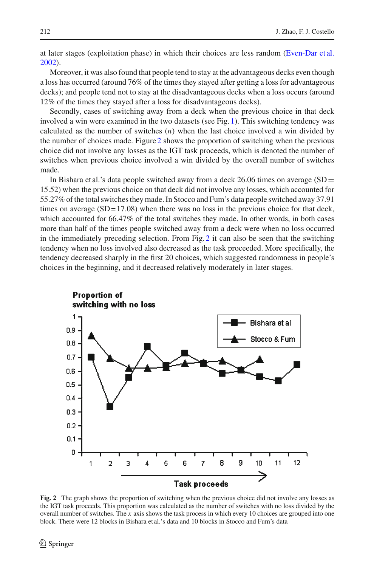at later stages (exploitation phase) in which their choices are less random [\(Even-Dar et al.](#page-13-9) [2002](#page-13-9)).

Moreover, it was also found that people tend to stay at the advantageous decks even though a loss has occurred (around 76% of the times they stayed after getting a loss for advantageous decks); and people tend not to stay at the disadvantageous decks when a loss occurs (around 12% of the times they stayed after a loss for disadvantageous decks).

Secondly, cases of switching away from a deck when the previous choice in that deck involved a win were examined in the two datasets (see Fig. [1\)](#page-2-0). This switching tendency was calculated as the number of switches (*n*) when the last choice involved a win divided by the number of choices made. Figure [2](#page-3-0) shows the proportion of switching when the previous choice did not involve any losses as the IGT task proceeds, which is denoted the number of switches when previous choice involved a win divided by the overall number of switches made.

In Bishara et al.'s data people switched away from a deck  $26.06$  times on average (SD = 15.52) when the previous choice on that deck did not involve any losses, which accounted for 55.27% of the total switches they made. In Stocco and Fum's data people switched away 37.91 times on average  $(SD = 17.08)$  when there was no loss in the previous choice for that deck, which accounted for 66.47% of the total switches they made. In other words, in both cases more than half of the times people switched away from a deck were when no loss occurred in the immediately preceding selection. From Fig. [2](#page-3-0) it can also be seen that the switching tendency when no loss involved also decreased as the task proceeded. More specifically, the tendency decreased sharply in the first 20 choices, which suggested randomness in people's choices in the beginning, and it decreased relatively moderately in later stages.



<span id="page-3-0"></span>**Fig. 2** The graph shows the proportion of switching when the previous choice did not involve any losses as the IGT task proceeds. This proportion was calculated as the number of switches with no loss divided by the overall number of switches. The *x* axis shows the task process in which every 10 choices are grouped into one block. There were 12 blocks in Bishara et al.'s data and 10 blocks in Stocco and Fum's data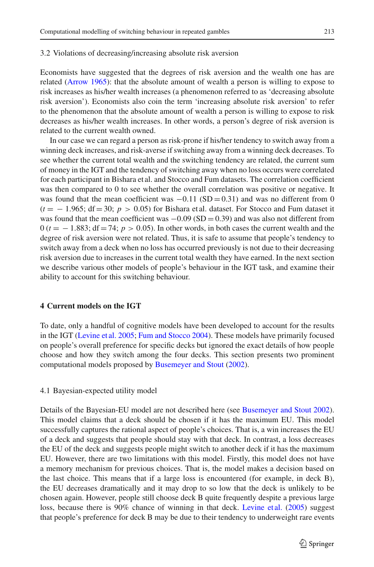### 3.2 Violations of decreasing/increasing absolute risk aversion

Economists have suggested that the degrees of risk aversion and the wealth one has are related [\(Arrow 1965\)](#page-12-3): that the absolute amount of wealth a person is willing to expose to risk increases as his/her wealth increases (a phenomenon referred to as 'decreasing absolute risk aversion'). Economists also coin the term 'increasing absolute risk aversion' to refer to the phenomenon that the absolute amount of wealth a person is willing to expose to risk decreases as his/her wealth increases. In other words, a person's degree of risk aversion is related to the current wealth owned.

In our case we can regard a person as risk-prone if his/her tendency to switch away from a winning deck increases, and risk-averse if switching away from a winning deck decreases. To see whether the current total wealth and the switching tendency are related, the current sum of money in the IGT and the tendency of switching away when no loss occurs were correlated for each participant in Bishara et al. and Stocco and Fum datasets. The correlation coefficient was then compared to 0 to see whether the overall correlation was positive or negative. It was found that the mean coefficient was  $-0.11$  (SD = 0.31) and was no different from 0  $(t = -1.965; df = 30; p > 0.05)$  for Bishara et al. dataset. For Stocco and Fum dataset it was found that the mean coefficient was  $-0.09$  (SD = 0.39) and was also not different from  $0$  ( $t = -1.883$ ; df = 74;  $p > 0.05$ ). In other words, in both cases the current wealth and the degree of risk aversion were not related. Thus, it is safe to assume that people's tendency to switch away from a deck when no loss has occurred previously is not due to their decreasing risk aversion due to increases in the current total wealth they have earned. In the next section we describe various other models of people's behaviour in the IGT task, and examine their ability to account for this switching behaviour.

### **4 Current models on the IGT**

To date, only a handful of cognitive models have been developed to account for the results in the IGT [\(Levine et al. 2005;](#page-13-10) [Fum and Stocco 2004\)](#page-13-11). These models have primarily focused on people's overall preference for specific decks but ignored the exact details of how people choose and how they switch among the four decks. This section presents two prominent computational models proposed by [Busemeyer and Stout](#page-13-12) [\(2002\)](#page-13-12).

### 4.1 Bayesian-expected utility model

Details of the Bayesian-EU model are not described here (see [Busemeyer and Stout 2002\)](#page-13-12). This model claims that a deck should be chosen if it has the maximum EU. This model successfully captures the rational aspect of people's choices. That is, a win increases the EU of a deck and suggests that people should stay with that deck. In contrast, a loss decreases the EU of the deck and suggests people might switch to another deck if it has the maximum EU. However, there are two limitations with this model. Firstly, this model does not have a memory mechanism for previous choices. That is, the model makes a decision based on the last choice. This means that if a large loss is encountered (for example, in deck B), the EU decreases dramatically and it may drop to so low that the deck is unlikely to be chosen again. However, people still choose deck B quite frequently despite a previous large loss, because there is 90% chance of winning in that deck. [Levine et al.](#page-13-10) [\(2005\)](#page-13-10) suggest that people's preference for deck B may be due to their tendency to underweight rare events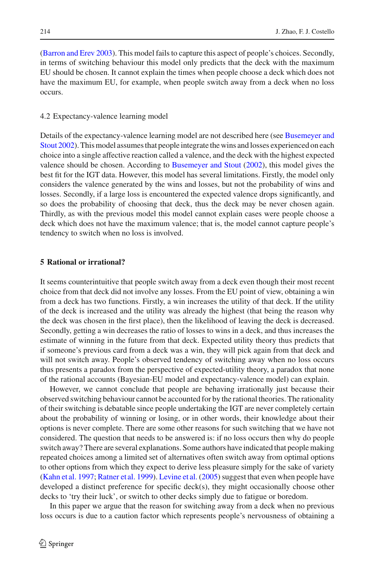[\(Barron and Erev 2003](#page-12-4)). This model fails to capture this aspect of people's choices. Secondly, in terms of switching behaviour this model only predicts that the deck with the maximum EU should be chosen. It cannot explain the times when people choose a deck which does not have the maximum EU, for example, when people switch away from a deck when no loss occurs.

### 4.2 Expectancy-valence learning model

Deta[ils](#page-13-12) [of](#page-13-12) [the](#page-13-12) [expectancy-valence](#page-13-12) [learning](#page-13-12) [model](#page-13-12) [are](#page-13-12) [not](#page-13-12) [described](#page-13-12) [here](#page-13-12) [\(see](#page-13-12) Busemeyer and Stout [2002](#page-13-12)). This model assumes that people integrate the wins and losses experienced on each choice into a single affective reaction called a valence, and the deck with the highest expected valence should be chosen. According to [Busemeyer and Stout](#page-13-12) [\(2002](#page-13-12)), this model gives the best fit for the IGT data. However, this model has several limitations. Firstly, the model only considers the valence generated by the wins and losses, but not the probability of wins and losses. Secondly, if a large loss is encountered the expected valence drops significantly, and so does the probability of choosing that deck, thus the deck may be never chosen again. Thirdly, as with the previous model this model cannot explain cases were people choose a deck which does not have the maximum valence; that is, the model cannot capture people's tendency to switch when no loss is involved.

## **5 Rational or irrational?**

It seems counterintuitive that people switch away from a deck even though their most recent choice from that deck did not involve any losses. From the EU point of view, obtaining a win from a deck has two functions. Firstly, a win increases the utility of that deck. If the utility of the deck is increased and the utility was already the highest (that being the reason why the deck was chosen in the first place), then the likelihood of leaving the deck is decreased. Secondly, getting a win decreases the ratio of losses to wins in a deck, and thus increases the estimate of winning in the future from that deck. Expected utility theory thus predicts that if someone's previous card from a deck was a win, they will pick again from that deck and will not switch away. People's observed tendency of switching away when no loss occurs thus presents a paradox from the perspective of expected-utility theory, a paradox that none of the rational accounts (Bayesian-EU model and expectancy-valence model) can explain.

However, we cannot conclude that people are behaving irrationally just because their observed switching behaviour cannot be accounted for by the rational theories. The rationality of their switching is debatable since people undertaking the IGT are never completely certain about the probability of winning or losing, or in other words, their knowledge about their options is never complete. There are some other reasons for such switching that we have not considered. The question that needs to be answered is: if no loss occurs then why do people switch away? There are several explanations. Some authors have indicated that people making repeated choices among a limited set of alternatives often switch away from optimal options to other options from which they expect to derive less pleasure simply for the sake of variety [\(Kahn et al. 1997;](#page-13-13) [Ratner et al. 1999\)](#page-13-14). [Levine et al.](#page-13-10) [\(2005](#page-13-10)) suggest that even when people have developed a distinct preference for specific deck(s), they might occasionally choose other decks to 'try their luck', or switch to other decks simply due to fatigue or boredom.

In this paper we argue that the reason for switching away from a deck when no previous loss occurs is due to a caution factor which represents people's nervousness of obtaining a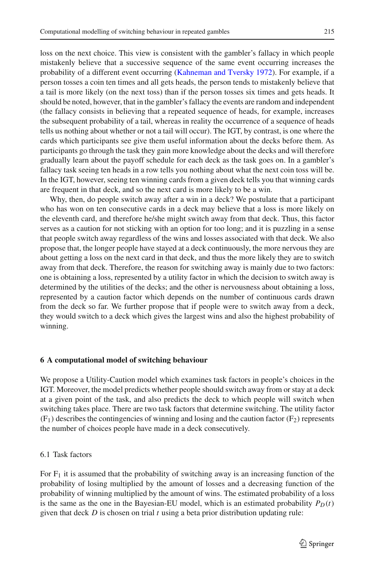loss on the next choice. This view is consistent with the gambler's fallacy in which people mistakenly believe that a successive sequence of the same event occurring increases the probability of a different event occurring [\(Kahneman and Tversky 1972](#page-13-15)). For example, if a person tosses a coin ten times and all gets heads, the person tends to mistakenly believe that a tail is more likely (on the next toss) than if the person tosses six times and gets heads. It should be noted, however, that in the gambler's fallacy the events are random and independent (the fallacy consists in believing that a repeated sequence of heads, for example, increases the subsequent probability of a tail, whereas in reality the occurrence of a sequence of heads tells us nothing about whether or not a tail will occur). The IGT, by contrast, is one where the cards which participants see give them useful information about the decks before them. As participants go through the task they gain more knowledge about the decks and will therefore gradually learn about the payoff schedule for each deck as the task goes on. In a gambler's fallacy task seeing ten heads in a row tells you nothing about what the next coin toss will be. In the IGT, however, seeing ten winning cards from a given deck tells you that winning cards are frequent in that deck, and so the next card is more likely to be a win.

Why, then, do people switch away after a win in a deck? We postulate that a participant who has won on ten consecutive cards in a deck may believe that a loss is more likely on the eleventh card, and therefore he/she might switch away from that deck. Thus, this factor serves as a caution for not sticking with an option for too long; and it is puzzling in a sense that people switch away regardless of the wins and losses associated with that deck. We also propose that, the longer people have stayed at a deck continuously, the more nervous they are about getting a loss on the next card in that deck, and thus the more likely they are to switch away from that deck. Therefore, the reason for switching away is mainly due to two factors: one is obtaining a loss, represented by a utility factor in which the decision to switch away is determined by the utilities of the decks; and the other is nervousness about obtaining a loss, represented by a caution factor which depends on the number of continuous cards drawn from the deck so far. We further propose that if people were to switch away from a deck, they would switch to a deck which gives the largest wins and also the highest probability of winning.

### **6 A computational model of switching behaviour**

We propose a Utility-Caution model which examines task factors in people's choices in the IGT. Moreover, the model predicts whether people should switch away from or stay at a deck at a given point of the task, and also predicts the deck to which people will switch when switching takes place. There are two task factors that determine switching. The utility factor  $(F_1)$  describes the contingencies of winning and losing and the caution factor  $(F_2)$  represents the number of choices people have made in a deck consecutively.

### 6.1 Task factors

For  $F_1$  it is assumed that the probability of switching away is an increasing function of the probability of losing multiplied by the amount of losses and a decreasing function of the probability of winning multiplied by the amount of wins. The estimated probability of a loss is the same as the one in the Bayesian-EU model, which is an estimated probability  $P_D(t)$ given that deck *D* is chosen on trial *t* using a beta prior distribution updating rule: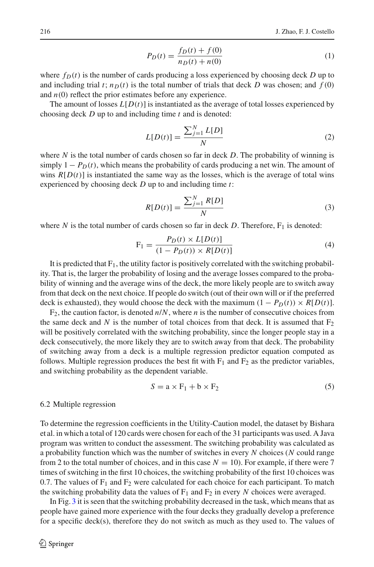$$
P_D(t) = \frac{f_D(t) + f(0)}{n_D(t) + n(0)}
$$
\n(1)

where  $f_D(t)$  is the number of cards producing a loss experienced by choosing deck *D* up to and including trial *t*;  $n_D(t)$  is the total number of trials that deck *D* was chosen; and  $f(0)$ and *n(*0*)* reflect the prior estimates before any experience.

The amount of losses  $L[D(t)]$  is instantiated as the average of total losses experienced by choosing deck *D* up to and including time *t* and is denoted:

$$
L[D(t)] = \frac{\sum_{j=1}^{N} L[D]}{N} \tag{2}
$$

where *N* is the total number of cards chosen so far in deck *D*. The probability of winning is simply  $1 - P_D(t)$ , which means the probability of cards producing a net win. The amount of wins  $R[D(t)]$  is instantiated the same way as the losses, which is the average of total wins experienced by choosing deck *D* up to and including time *t*:

$$
R[D(t)] = \frac{\sum_{j=1}^{N} R[D]}{N} \tag{3}
$$

where  $N$  is the total number of cards chosen so far in deck  $D$ . Therefore,  $F_1$  is denoted:

$$
F_1 = \frac{P_D(t) \times L[D(t)]}{(1 - P_D(t)) \times R[D(t)]}
$$
\n(4)

It is predicted that  $F_1$ , the utility factor is positively correlated with the switching probability. That is, the larger the probability of losing and the average losses compared to the probability of winning and the average wins of the deck, the more likely people are to switch away from that deck on the next choice. If people do switch (out of their own will or if the preferred deck is exhausted), they would choose the deck with the maximum  $(1 - P_D(t)) \times R[D(t)]$ .

F2, the caution factor, is denoted *n*/*N*, where *n* is the number of consecutive choices from the same deck and *N* is the number of total choices from that deck. It is assumed that  $F_2$ will be positively correlated with the switching probability, since the longer people stay in a deck consecutively, the more likely they are to switch away from that deck. The probability of switching away from a deck is a multiple regression predictor equation computed as follows. Multiple regression produces the best fit with  $F_1$  and  $F_2$  as the predictor variables, and switching probability as the dependent variable.

$$
S = a \times F_1 + b \times F_2 \tag{5}
$$

### 6.2 Multiple regression

To determine the regression coefficients in the Utility-Caution model, the dataset by Bishara et al. in which a total of 120 cards were chosen for each of the 31 participants was used. A Java program was written to conduct the assessment. The switching probability was calculated as a probability function which was the number of switches in every *N* choices (*N* could range from 2 to the total number of choices, and in this case  $N = 10$ ). For example, if there were 7 times of switching in the first 10 choices, the switching probability of the first 10 choices was 0.7. The values of  $F_1$  and  $F_2$  were calculated for each choice for each participant. To match the switching probability data the values of  $F_1$  and  $F_2$  in every *N* choices were averaged.

In Fig. [3](#page-8-0) it is seen that the switching probability decreased in the task, which means that as people have gained more experience with the four decks they gradually develop a preference for a specific deck(s), therefore they do not switch as much as they used to. The values of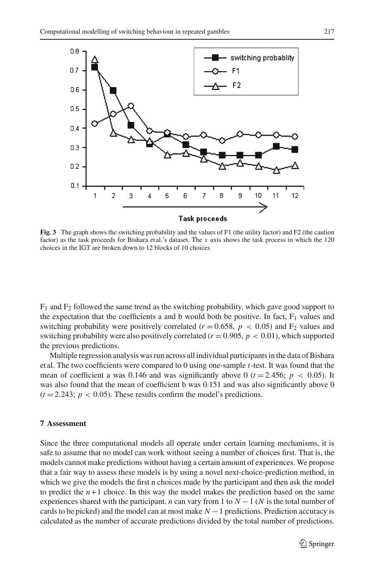

<span id="page-8-0"></span>**Fig. 3** The graph shows the switching probability and the values of F1 (the utility factor) and F2 (the caution factor) as the task proceeds for Bishara et al.'s dataset. The *x* axis shows the task process in which the 120 choices in the IGT are broken down to 12 blocks of 10 choices

 $F_1$  and  $F_2$  followed the same trend as the switching probability, which gave good support to the expectation that the coefficients a and b would both be positive. In fact,  $F_1$  values and switching probability were positively correlated  $(r = 0.658, p < 0.05)$  and  $F_2$  values and switching probability were also positively correlated ( $r = 0.905$ ,  $p < 0.01$ ), which supported the previous predictions.

Multiple regression analysis was run across all individual participants in the data of Bishara et al. The two coefficients were compared to 0 using one-sample *t*-test. It was found that the mean of coefficient a was 0.146 and was significantly above 0 ( $t = 2.456$ ;  $p < 0.05$ ). It was also found that the mean of coefficient b was 0.151 and was also significantly above 0  $(t = 2.243; p < 0.05)$ . These results confirm the model's predictions.

### **7 Assessment**

Since the three computational models all operate under certain learning mechanisms, it is safe to assume that no model can work without seeing a number of choices first. That is, the models cannot make predictions without having a certain amount of experiences. We propose that a fair way to assess these models is by using a novel next-choice-prediction method, in which we give the models the first n choices made by the participant and then ask the model to predict the  $n+1$  choice. In this way the model makes the prediction based on the same experiences shared with the participant. *n* can vary from 1 to  $N-1$  (*N* is the total number of cards to be picked) and the model can at most make *N* −1 predictions. Prediction accuracy is calculated as the number of accurate predictions divided by the total number of predictions.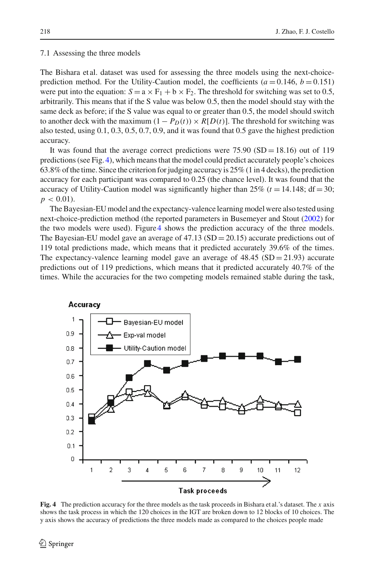### 7.1 Assessing the three models

The Bishara et al. dataset was used for assessing the three models using the next-choiceprediction method. For the Utility-Caution model, the coefficients  $(a=0.146, b=0.151)$ were put into the equation:  $S = a \times F_1 + b \times F_2$ . The threshold for switching was set to 0.5, arbitrarily. This means that if the S value was below 0.5, then the model should stay with the same deck as before; if the S value was equal to or greater than 0.5, the model should switch to another deck with the maximum  $(1 - P_D(t)) \times R[D(t)]$ . The threshold for switching was also tested, using 0.1, 0.3, 0.5, 0.7, 0.9, and it was found that 0.5 gave the highest prediction accuracy.

It was found that the average correct predictions were  $75.90$  (SD = 18.16) out of 119 predictions (see Fig. [4\)](#page-9-0), which means that the model could predict accurately people's choices 63.8% of the time. Since the criterion for judging accuracy is 25% (1 in 4 decks), the prediction accuracy for each participant was compared to 0.25 (the chance level). It was found that the accuracy of Utility-Caution model was significantly higher than  $25\%$  ( $t = 14.148$ ; df = 30;  $p < 0.01$ ).

The Bayesian-EU model and the expectancy-valence learning model were also tested using next-choice-prediction method (the reported parameters in Busemeyer and Stout [\(2002](#page-13-12)) for the two models were used). Figure [4](#page-9-0) shows the prediction accuracy of the three models. The Bayesian-EU model gave an average of  $47.13$  (SD = 20.15) accurate predictions out of 119 total predictions made, which means that it predicted accurately 39.6% of the times. The expectancy-valence learning model gave an average of  $48.45$  (SD =  $21.93$ ) accurate predictions out of 119 predictions, which means that it predicted accurately 40.7% of the times. While the accuracies for the two competing models remained stable during the task,



<span id="page-9-0"></span>**Fig. 4** The prediction accuracy for the three models as the task proceeds in Bishara et al.'s dataset. The *x* axis shows the task process in which the 120 choices in the IGT are broken down to 12 blocks of 10 choices. The y axis shows the accuracy of predictions the three models made as compared to the choices people made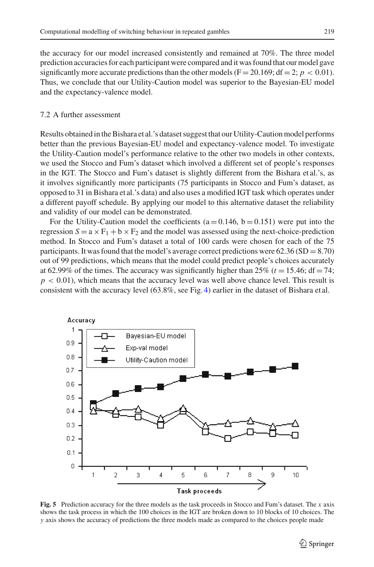the accuracy for our model increased consistently and remained at 70%. The three model prediction accuracies for each participant were compared and it was found that our model gave significantly more accurate predictions than the other models ( $F = 20.169$ ;  $df = 2$ ;  $p < 0.01$ ). Thus, we conclude that our Utility-Caution model was superior to the Bayesian-EU model and the expectancy-valence model.

#### 7.2 A further assessment

Results obtained in the Bishara et al.'s dataset suggest that our Utility-Caution model performs better than the previous Bayesian-EU model and expectancy-valence model. To investigate the Utility-Caution model's performance relative to the other two models in other contexts, we used the Stocco and Fum's dataset which involved a different set of people's responses in the IGT. The Stocco and Fum's dataset is slightly different from the Bishara et al.'s, as it involves significantly more participants (75 participants in Stocco and Fum's dataset, as opposed to 31 in Bishara et al.'s data) and also uses a modified IGT task which operates under a different payoff schedule. By applying our model to this alternative dataset the reliability and validity of our model can be demonstrated.

For the Utility-Caution model the coefficients ( $a = 0.146$ ,  $b = 0.151$ ) were put into the regression  $S = a \times F_1 + b \times F_2$  and the model was assessed using the next-choice-prediction method. In Stocco and Fum's dataset a total of 100 cards were chosen for each of the 75 participants. It was found that the model's average correct predictions were  $62.36$  (SD =  $8.70$ ) out of 99 predictions, which means that the model could predict people's choices accurately at 62.99% of the times. The accuracy was significantly higher than  $25\%$  ( $t = 15.46$ ; df = 74;  $p < 0.01$ ), which means that the accuracy level was well above chance level. This result is consistent with the accuracy level (63.8%, see Fig. [4\)](#page-9-0) earlier in the dataset of Bishara et al.



<span id="page-10-0"></span>**Fig. 5** Prediction accuracy for the three models as the task proceeds in Stocco and Fum's dataset. The *x* axis shows the task process in which the 100 choices in the IGT are broken down to 10 blocks of 10 choices. The *y* axis shows the accuracy of predictions the three models made as compared to the choices people made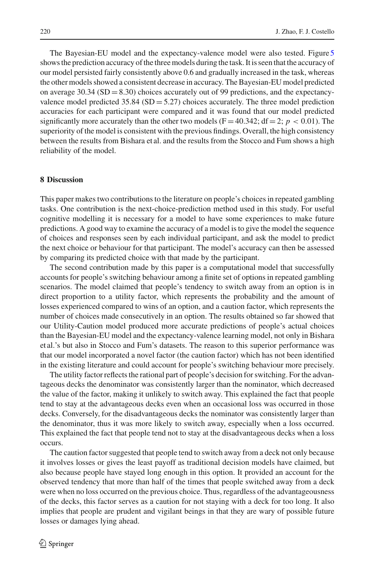The Bayesian-EU model and the expectancy-valence model were also tested. Figure [5](#page-10-0) shows the prediction accuracy of the three models during the task. It is seen that the accuracy of our model persisted fairly consistently above 0.6 and gradually increased in the task, whereas the other models showed a consistent decrease in accuracy. The Bayesian-EU model predicted on average 30.34 ( $SD = 8.30$ ) choices accurately out of 99 predictions, and the expectancyvalence model predicted  $35.84$  (SD = 5.27) choices accurately. The three model prediction accuracies for each participant were compared and it was found that our model predicted significantly more accurately than the other two models ( $F = 40.342$ ;  $df = 2$ ;  $p < 0.01$ ). The superiority of the model is consistent with the previous findings. Overall, the high consistency between the results from Bishara et al. and the results from the Stocco and Fum shows a high reliability of the model.

### **8 Discussion**

This paper makes two contributions to the literature on people's choices in repeated gambling tasks. One contribution is the next-choice-prediction method used in this study. For useful cognitive modelling it is necessary for a model to have some experiences to make future predictions. A good way to examine the accuracy of a model is to give the model the sequence of choices and responses seen by each individual participant, and ask the model to predict the next choice or behaviour for that participant. The model's accuracy can then be assessed by comparing its predicted choice with that made by the participant.

The second contribution made by this paper is a computational model that successfully accounts for people's switching behaviour among a finite set of options in repeated gambling scenarios. The model claimed that people's tendency to switch away from an option is in direct proportion to a utility factor, which represents the probability and the amount of losses experienced compared to wins of an option, and a caution factor, which represents the number of choices made consecutively in an option. The results obtained so far showed that our Utility-Caution model produced more accurate predictions of people's actual choices than the Bayesian-EU model and the expectancy-valence learning model, not only in Bishara et al.'s but also in Stocco and Fum's datasets. The reason to this superior performance was that our model incorporated a novel factor (the caution factor) which has not been identified in the existing literature and could account for people's switching behaviour more precisely.

The utility factor reflects the rational part of people's decision for switching. For the advantageous decks the denominator was consistently larger than the nominator, which decreased the value of the factor, making it unlikely to switch away. This explained the fact that people tend to stay at the advantageous decks even when an occasional loss was occurred in those decks. Conversely, for the disadvantageous decks the nominator was consistently larger than the denominator, thus it was more likely to switch away, especially when a loss occurred. This explained the fact that people tend not to stay at the disadvantageous decks when a loss occurs.

The caution factor suggested that people tend to switch away from a deck not only because it involves losses or gives the least payoff as traditional decision models have claimed, but also because people have stayed long enough in this option. It provided an account for the observed tendency that more than half of the times that people switched away from a deck were when no loss occurred on the previous choice. Thus, regardless of the advantageousness of the decks, this factor serves as a caution for not staying with a deck for too long. It also implies that people are prudent and vigilant beings in that they are wary of possible future losses or damages lying ahead.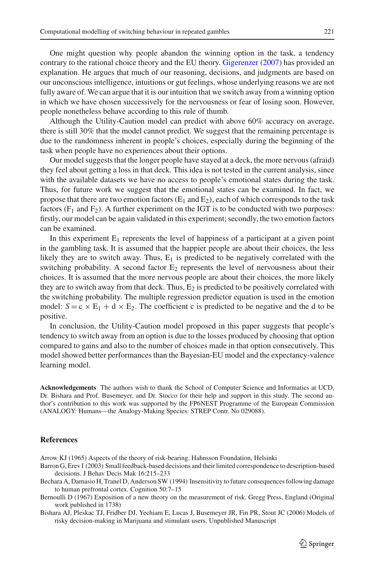One might question why people abandon the winning option in the task, a tendency contrary to the rational choice theory and the EU theory. [Gigerenzer](#page-13-16) [\(2007](#page-13-16)) has provided an explanation. He argues that much of our reasoning, decisions, and judgments are based on our unconscious intelligence, intuitions or gut feelings, whose underlying reasons we are not fully aware of. We can argue that it is our intuition that we switch away from a winning option in which we have chosen successively for the nervousness or fear of losing soon. However, people nonetheless behave according to this rule of thumb.

Although the Utility-Caution model can predict with above 60% accuracy on average, there is still 30% that the model cannot predict. We suggest that the remaining percentage is due to the randomness inherent in people's choices, especially during the beginning of the task when people have no experiences about their options.

Our model suggests that the longer people have stayed at a deck, the more nervous (afraid) they feel about getting a loss in that deck. This idea is not tested in the current analysis, since with the available datasets we have no access to people's emotional states during the task. Thus, for future work we suggest that the emotional states can be examined. In fact, we propose that there are two emotion factors  $(E_1 \text{ and } E_2)$ , each of which corresponds to the task factors  $(F_1 \text{ and } F_2)$ . A further experiment on the IGT is to be conducted with two purposes: firstly, our model can be again validated in this experiment; secondly, the two emotion factors can be examined.

In this experiment  $E_1$  represents the level of happiness of a participant at a given point in the gambling task. It is assumed that the happier people are about their choices, the less likely they are to switch away. Thus,  $E_1$  is predicted to be negatively correlated with the switching probability. A second factor  $E_2$  represents the level of nervousness about their choices. It is assumed that the more nervous people are about their choices, the more likely they are to switch away from that deck. Thus,  $E_2$  is predicted to be positively correlated with the switching probability. The multiple regression predictor equation is used in the emotion model:  $S = c \times E_1 + d \times E_2$ . The coefficient c is predicted to be negative and the d to be positive.

In conclusion, the Utility-Caution model proposed in this paper suggests that people's tendency to switch away from an option is due to the losses produced by choosing that option compared to gains and also to the number of choices made in that option consecutively. This model showed better performances than the Bayesian-EU model and the expectancy-valence learning model.

**Acknowledgements** The authors wish to thank the School of Computer Science and Informatics at UCD, Dr. Bishara and Prof. Busemeyer, and Dr. Stocco for their help and support in this study. The second author's contribution to this work was supported by the FP6NEST Programme of the European Commission (ANALOGY: Humans—the Analogy-Making Species: STREP Contr. No 029088).

### **References**

<span id="page-12-3"></span>Arrow KJ (1965) Aspects of the theory of risk-bearing. Hahnsson Foundation, Helsinki

- <span id="page-12-4"></span>Barron G, Erev I (2003) Small feedback-based decisions and their limited correspondence to description-based decisions. J Behav Decis Mak 16:215–233
- <span id="page-12-1"></span>Bechara A, Damasio H, Tranel D, Anderson SW (1994) Insensitivity to future consequences following damage to human prefrontal cortex. Cognition 50:7–15
- <span id="page-12-0"></span>Bernoulli D (1967) Exposition of a new theory on the measurement of risk. Gregg Press, England (Original work published in 1738)

<span id="page-12-2"></span>Bishara AJ, Pleskac TJ, Fridber DJ, Yechiam E, Lucas J, Busemeyer JR, Fin PR, Stout JC (2006) Models of risky decision-making in Marijuana and stimulant users. Unpublished Manuscript